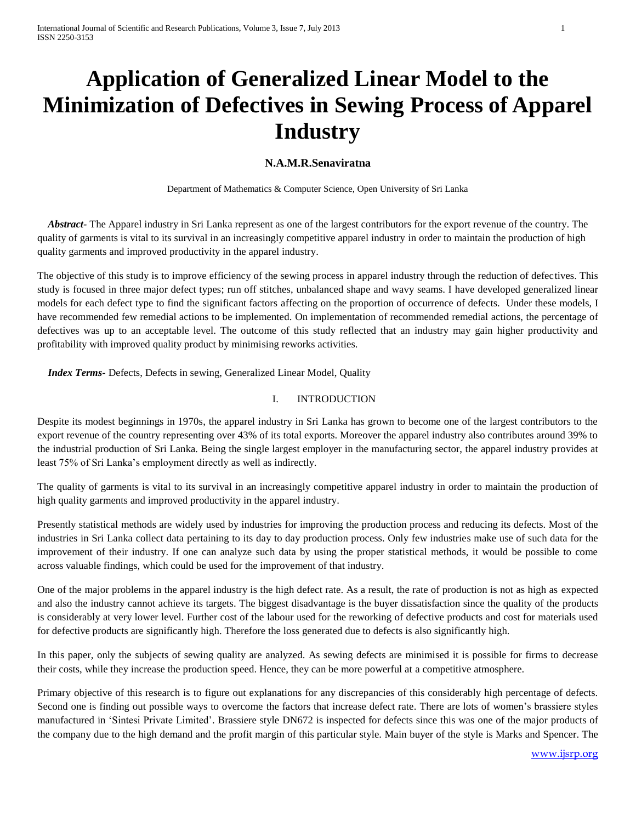# **Application of Generalized Linear Model to the Minimization of Defectives in Sewing Process of Apparel Industry**

## **N.A.M.R.Senaviratna**

Department of Mathematics & Computer Science, Open University of Sri Lanka

 *Abstract-* The Apparel industry in Sri Lanka represent as one of the largest contributors for the export revenue of the country. The quality of garments is vital to its survival in an increasingly competitive apparel industry in order to maintain the production of high quality garments and improved productivity in the apparel industry.

The objective of this study is to improve efficiency of the sewing process in apparel industry through the reduction of defectives. This study is focused in three major defect types; run off stitches, unbalanced shape and wavy seams. I have developed generalized linear models for each defect type to find the significant factors affecting on the proportion of occurrence of defects. Under these models, I have recommended few remedial actions to be implemented. On implementation of recommended remedial actions, the percentage of defectives was up to an acceptable level. The outcome of this study reflected that an industry may gain higher productivity and profitability with improved quality product by minimising reworks activities.

 *Index Terms-* Defects, Defects in sewing, Generalized Linear Model, Quality

### I. INTRODUCTION

Despite its modest beginnings in 1970s, the apparel industry in Sri Lanka has grown to become one of the largest contributors to the export revenue of the country representing over 43% of its total exports. Moreover the apparel industry also contributes around 39% to the industrial production of Sri Lanka. Being the single largest employer in the manufacturing sector, the apparel industry provides at least 75% of Sri Lanka's employment directly as well as indirectly.

The quality of garments is vital to its survival in an increasingly competitive apparel industry in order to maintain the production of high quality garments and improved productivity in the apparel industry.

Presently statistical methods are widely used by industries for improving the production process and reducing its defects. Most of the industries in Sri Lanka collect data pertaining to its day to day production process. Only few industries make use of such data for the improvement of their industry. If one can analyze such data by using the proper statistical methods, it would be possible to come across valuable findings, which could be used for the improvement of that industry.

One of the major problems in the apparel industry is the high defect rate. As a result, the rate of production is not as high as expected and also the industry cannot achieve its targets. The biggest disadvantage is the buyer dissatisfaction since the quality of the products is considerably at very lower level. Further cost of the labour used for the reworking of defective products and cost for materials used for defective products are significantly high. Therefore the loss generated due to defects is also significantly high.

In this paper, only the subjects of sewing quality are analyzed. As sewing defects are minimised it is possible for firms to decrease their costs, while they increase the production speed. Hence, they can be more powerful at a competitive atmosphere.

Primary objective of this research is to figure out explanations for any discrepancies of this considerably high percentage of defects. Second one is finding out possible ways to overcome the factors that increase defect rate. There are lots of women's brassiere styles manufactured in 'Sintesi Private Limited'. Brassiere style DN672 is inspected for defects since this was one of the major products of the company due to the high demand and the profit margin of this particular style. Main buyer of the style is Marks and Spencer. The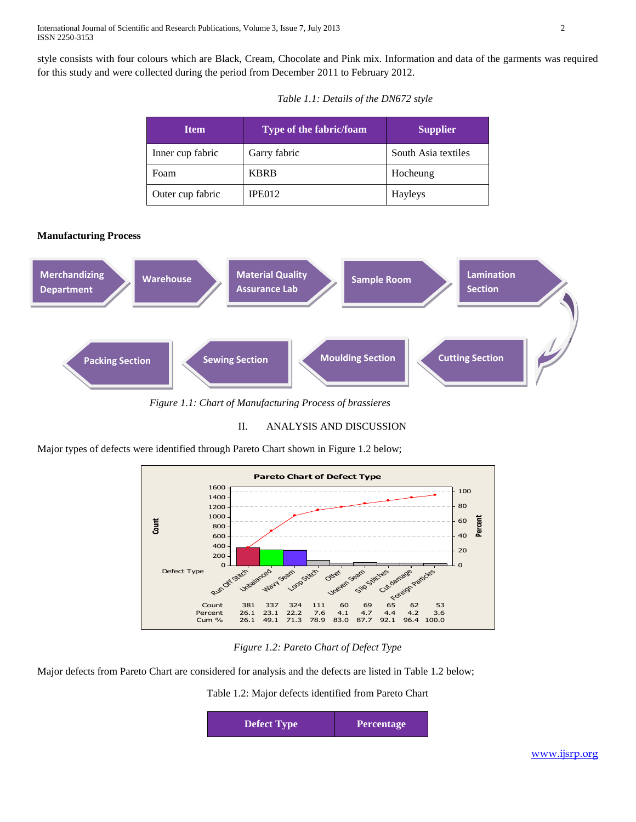style consists with four colours which are Black, Cream, Chocolate and Pink mix. Information and data of the garments was required for this study and were collected during the period from December 2011 to February 2012.

| <b>Item</b>      | <b>Type of the fabric/foam</b> | <b>Supplier</b>     |
|------------------|--------------------------------|---------------------|
| Inner cup fabric | Garry fabric                   | South Asia textiles |
| Foam             | <b>KBRB</b>                    | Hocheung            |
| Outer cup fabric | IPE012                         | Hayleys             |

#### **Manufacturing Process**



*Figure 1.1: Chart of Manufacturing Process of brassieres*

## II. ANALYSIS AND DISCUSSION

Major types of defects were identified through Pareto Chart shown in Figure 1.2 below;



*Figure 1.2: Pareto Chart of Defect Type*

Major defects from Pareto Chart are considered for analysis and the defects are listed in Table 1.2 below;

Table 1.2: Major defects identified from Pareto Chart

| <b>Defect Type</b> | <b>Percentage</b> |
|--------------------|-------------------|
|                    |                   |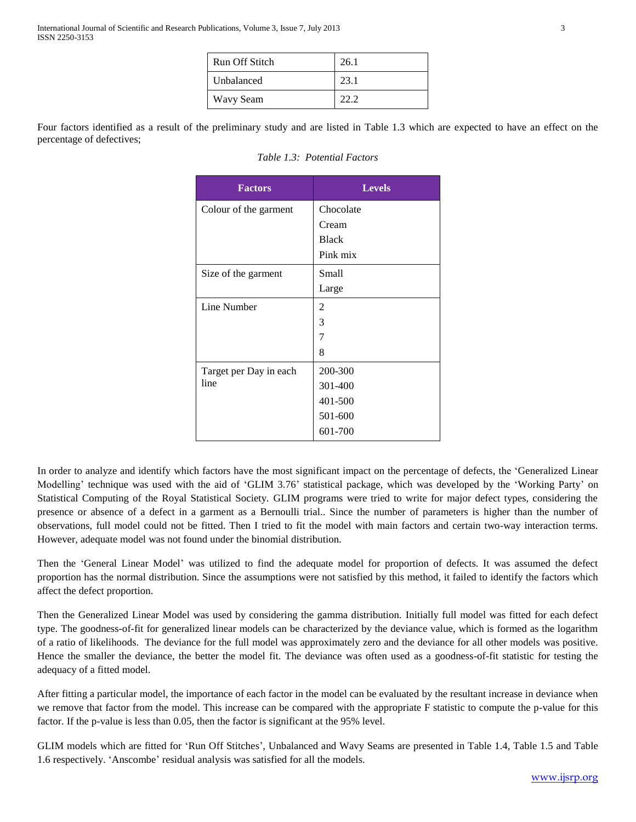| Run Off Stitch | 26.1 |
|----------------|------|
| Unbalanced     | 23.1 |
| Wavy Seam      |      |

Four factors identified as a result of the preliminary study and are listed in Table 1.3 which are expected to have an effect on the percentage of defectives;

| <b>Factors</b>         | <b>Levels</b> |
|------------------------|---------------|
| Colour of the garment  | Chocolate     |
|                        | Cream         |
|                        | <b>Black</b>  |
|                        | Pink mix      |
| Size of the garment    | Small         |
|                        | Large         |
| Line Number            | 2             |
|                        | 3             |
|                        | 7             |
|                        | 8             |
| Target per Day in each | 200-300       |
| line                   | 301-400       |
|                        | 401-500       |
|                        | 501-600       |
|                        | 601-700       |

*Table 1.3: Potential Factors*

In order to analyze and identify which factors have the most significant impact on the percentage of defects, the 'Generalized Linear Modelling' technique was used with the aid of 'GLIM 3.76' statistical package, which was developed by the 'Working Party' on Statistical Computing of the Royal Statistical Society. GLIM programs were tried to write for major defect types, considering the presence or absence of a defect in a garment as a Bernoulli trial.. Since the number of parameters is higher than the number of observations, full model could not be fitted. Then I tried to fit the model with main factors and certain two-way interaction terms. However, adequate model was not found under the binomial distribution.

Then the 'General Linear Model' was utilized to find the adequate model for proportion of defects. It was assumed the defect proportion has the normal distribution. Since the assumptions were not satisfied by this method, it failed to identify the factors which affect the defect proportion.

Then the Generalized Linear Model was used by considering the gamma distribution. Initially full model was fitted for each defect type. The goodness-of-fit for generalized linear models can be characterized by the deviance value, which is formed as the logarithm of a ratio of likelihoods. The deviance for the full model was approximately zero and the deviance for all other models was positive. Hence the smaller the deviance, the better the model fit. The deviance was often used as a goodness-of-fit statistic for testing the adequacy of a fitted model.

After fitting a particular model, the importance of each factor in the model can be evaluated by the resultant increase in deviance when we remove that factor from the model. This increase can be compared with the appropriate F statistic to compute the p-value for this factor. If the p-value is less than 0.05, then the factor is significant at the 95% level.

GLIM models which are fitted for 'Run Off Stitches', Unbalanced and Wavy Seams are presented in Table 1.4, Table 1.5 and Table 1.6 respectively. 'Anscombe' residual analysis was satisfied for all the models.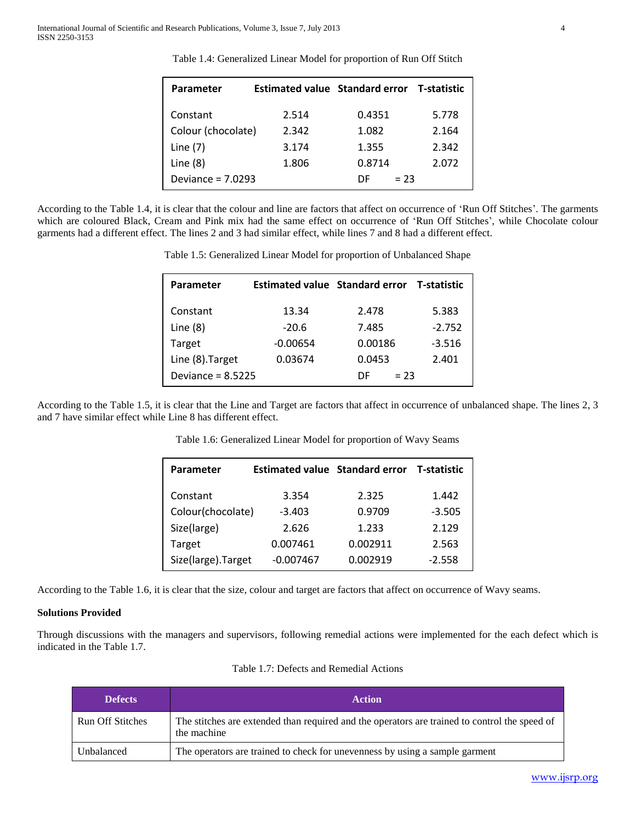| <b>Parameter</b>    | Estimated value Standard error T-statistic |               |       |
|---------------------|--------------------------------------------|---------------|-------|
| Constant            | 2.514                                      | 0.4351        | 5.778 |
| Colour (chocolate)  | 2.342                                      | 1.082         | 2.164 |
| Line $(7)$          | 3.174                                      | 1.355         | 2.342 |
| Line $(8)$          | 1.806                                      | 0.8714        | 2.072 |
| Deviance = $7.0293$ |                                            | $= 23$<br>DF. |       |

Table 1.4: Generalized Linear Model for proportion of Run Off Stitch

According to the Table 1.4, it is clear that the colour and line are factors that affect on occurrence of 'Run Off Stitches'. The garments which are coloured Black, Cream and Pink mix had the same effect on occurrence of 'Run Off Stitches', while Chocolate colour garments had a different effect. The lines 2 and 3 had similar effect, while lines 7 and 8 had a different effect.

Table 1.5: Generalized Linear Model for proportion of Unbalanced Shape

| Parameter           | Estimated value Standard error T-statistic |              |          |
|---------------------|--------------------------------------------|--------------|----------|
| Constant            | 13.34                                      | 2.478        | 5.383    |
| Line $(8)$          | $-20.6$                                    | 7.485        | $-2.752$ |
| Target              | $-0.00654$                                 | 0.00186      | $-3.516$ |
| Line (8). Target    | 0.03674                                    | 0.0453       | 2.401    |
| Deviance = $8.5225$ |                                            | $= 23$<br>DE |          |

According to the Table 1.5, it is clear that the Line and Target are factors that affect in occurrence of unbalanced shape. The lines 2, 3 and 7 have similar effect while Line 8 has different effect.

| <b>Parameter</b>    | Estimated value Standard error T-statistic |          |          |
|---------------------|--------------------------------------------|----------|----------|
| Constant            | 3.354                                      | 2.325    | 1.442    |
| Colour(chocolate)   | $-3.403$                                   | 0.9709   | $-3.505$ |
| Size(large)         | 2.626                                      | 1.233    | 2.129    |
| Target              | 0.007461                                   | 0.002911 | 2.563    |
| Size(large). Target | $-0.007467$                                | 0.002919 | $-2.558$ |

Table 1.6: Generalized Linear Model for proportion of Wavy Seams

According to the Table 1.6, it is clear that the size, colour and target are factors that affect on occurrence of Wavy seams.

#### **Solutions Provided**

Through discussions with the managers and supervisors, following remedial actions were implemented for the each defect which is indicated in the Table 1.7.

| Table 1.7: Defects and Remedial Actions |  |
|-----------------------------------------|--|
|-----------------------------------------|--|

| <b>Defects</b>          | <b>Action</b>                                                                                                |
|-------------------------|--------------------------------------------------------------------------------------------------------------|
| <b>Run Off Stitches</b> | The stitches are extended than required and the operators are trained to control the speed of<br>the machine |
| Unbalanced              | The operators are trained to check for unevenness by using a sample garment                                  |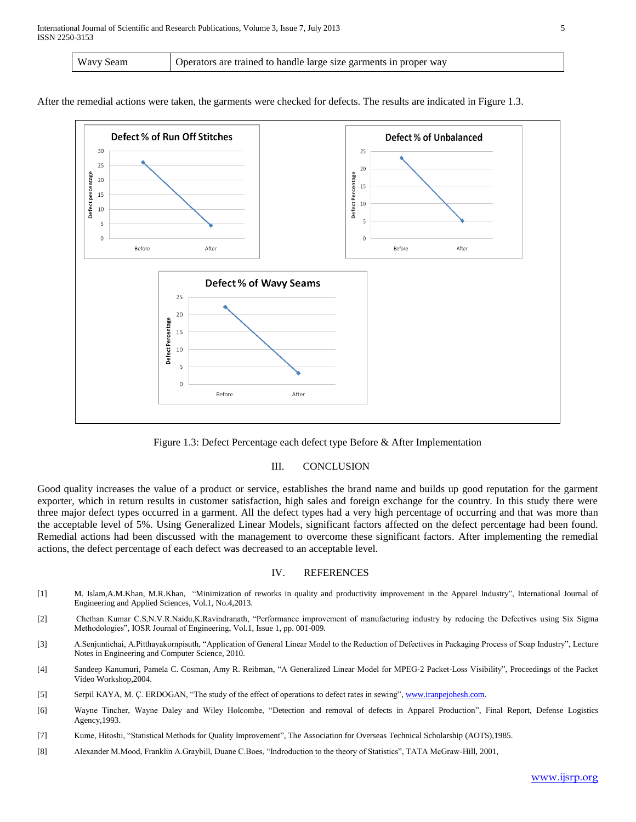| Wavy Seam | Operators are trained to handle large size garments in proper way |
|-----------|-------------------------------------------------------------------|
|-----------|-------------------------------------------------------------------|

After the remedial actions were taken, the garments were checked for defects. The results are indicated in Figure 1.3.



Figure 1.3: Defect Percentage each defect type Before & After Implementation

## III. CONCLUSION

Good quality increases the value of a product or service, establishes the brand name and builds up good reputation for the garment exporter, which in return results in customer satisfaction, high sales and foreign exchange for the country. In this study there were three major defect types occurred in a garment. All the defect types had a very high percentage of occurring and that was more than the acceptable level of 5%. Using Generalized Linear Models, significant factors affected on the defect percentage had been found. Remedial actions had been discussed with the management to overcome these significant factors. After implementing the remedial actions, the defect percentage of each defect was decreased to an acceptable level.

## IV. REFERENCES

- [1] M. Islam,A.M.Khan, M.R.Khan, "Minimization of reworks in quality and productivity improvement in the Apparel Industry", International Journal of Engineering and Applied Sciences, Vol.1, No.4,2013.
- [2] Chethan Kumar C.S,N.V.R.Naidu,K.Ravindranath, "Performance improvement of manufacturing industry by reducing the Defectives using Six Sigma Methodologies", IOSR Journal of Engineering, Vol.1, Issue 1, pp. 001-009.
- [3] A.Senjuntichai, A.Pitthayakornpisuth, "Application of General Linear Model to the Reduction of Defectives in Packaging Process of Soap Industry", Lecture Notes in Engineering and Computer Science, 2010.
- [4] Sandeep Kanumuri, Pamela C. Cosman, Amy R. Reibman, "A Generalized Linear Model for MPEG-2 Packet-Loss Visibility", Proceedings of the Packet Video Workshop,2004.
- [5] Serpil KAYA, M. Ç. ERDOGAN, "The study of the effect of operations to defect rates in sewing"[, www.iranpejohesh.com.](http://www.iranpejohesh.com/)
- [6] Wayne Tincher, Wayne Daley and Wiley Holcombe, "Detection and removal of defects in Apparel Production", Final Report, Defense Logistics Agency,1993.
- [7] Kume, Hitoshi, "Statistical Methods for Quality Improvement", The Association for Overseas Technical Scholarship (AOTS),1985.
- [8] Alexander M.Mood, Franklin A.Graybill, Duane C.Boes, "Indroduction to the theory of Statistics", TATA McGraw-Hill, 2001,